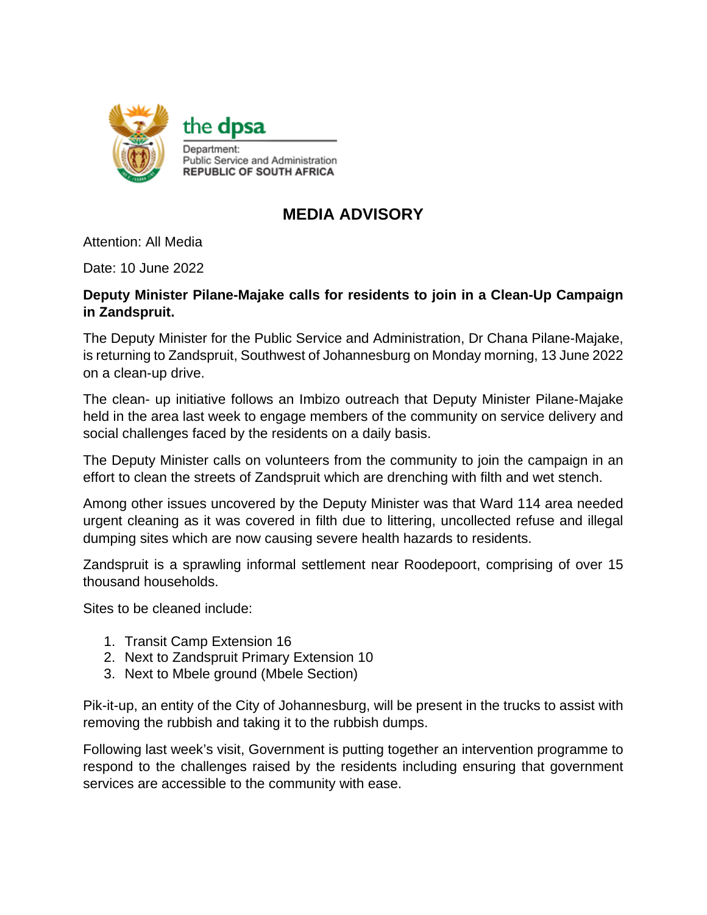

## **MEDIA ADVISORY**

Attention: All Media

Date: 10 June 2022

## **Deputy Minister Pilane-Majake calls for residents to join in a Clean-Up Campaign in Zandspruit.**

The Deputy Minister for the Public Service and Administration, Dr Chana Pilane-Majake, is returning to Zandspruit, Southwest of Johannesburg on Monday morning, 13 June 2022 on a clean-up drive.

The clean- up initiative follows an Imbizo outreach that Deputy Minister Pilane-Majake held in the area last week to engage members of the community on service delivery and social challenges faced by the residents on a daily basis.

The Deputy Minister calls on volunteers from the community to join the campaign in an effort to clean the streets of Zandspruit which are drenching with filth and wet stench.

Among other issues uncovered by the Deputy Minister was that Ward 114 area needed urgent cleaning as it was covered in filth due to littering, uncollected refuse and illegal dumping sites which are now causing severe health hazards to residents.

Zandspruit is a sprawling informal settlement near Roodepoort, comprising of over 15 thousand households.

Sites to be cleaned include:

- 1. Transit Camp Extension 16
- 2. Next to Zandspruit Primary Extension 10
- 3. Next to Mbele ground (Mbele Section)

Pik-it-up, an entity of the City of Johannesburg, will be present in the trucks to assist with removing the rubbish and taking it to the rubbish dumps.

Following last week's visit, Government is putting together an intervention programme to respond to the challenges raised by the residents including ensuring that government services are accessible to the community with ease.